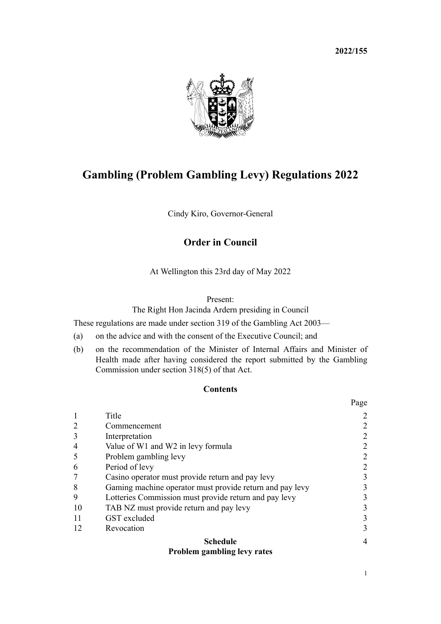**2022/155**



# **Gambling (Problem Gambling Levy) Regulations 2022**

Cindy Kiro, Governor-General

# **Order in Council**

At Wellington this 23rd day of May 2022

#### Present:

The Right Hon Jacinda Ardern presiding in Council

These regulations are made under [section 319](http://legislation.govt.nz/pdflink.aspx?id=DLM210257) of the [Gambling Act 2003—](http://legislation.govt.nz/pdflink.aspx?id=DLM207496)

- (a) on the advice and with the consent of the Executive Council; and
- (b) on the recommendation of the Minister of Internal Affairs and Minister of Health made after having considered the report submitted by the Gambling Commission under [section 318\(5\)](http://legislation.govt.nz/pdflink.aspx?id=DLM210256) of that Act.

### **Contents**

|                |                                                          | Page           |
|----------------|----------------------------------------------------------|----------------|
|                | Title                                                    | 2              |
|                | Commencement                                             | $\overline{2}$ |
| 3              | Interpretation                                           | $\overline{2}$ |
| $\overline{4}$ | Value of W1 and W2 in levy formula                       | 2              |
|                | Problem gambling levy                                    | $\overline{2}$ |
| 6              | Period of levy                                           | 2              |
|                | Casino operator must provide return and pay levy         | 3              |
| 8              | Gaming machine operator must provide return and pay levy | 3              |
| 9              | Lotteries Commission must provide return and pay levy    | 3              |
| 10             | TAB NZ must provide return and pay levy                  | 3              |
| 11             | GST excluded                                             | 3              |
| 12             | Revocation                                               | 3              |
|                | <b>Schedule</b>                                          | 4              |
|                | <b>Problem gambling levy rates</b>                       |                |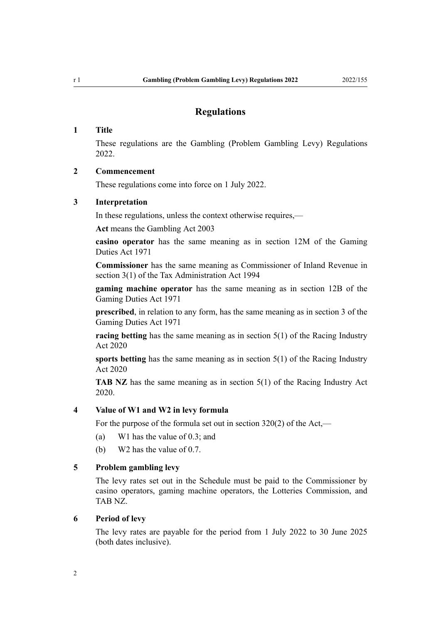# **Regulations**

#### <span id="page-1-0"></span>**1 Title**

These regulations are the Gambling (Problem Gambling Levy) Regulations 2022.

#### **2 Commencement**

These regulations come into force on 1 July 2022.

#### **3 Interpretation**

In these regulations, unless the context otherwise requires,—

**Act** means the [Gambling Act 2003](http://legislation.govt.nz/pdflink.aspx?id=DLM207496)

**casino operator** has the same meaning as in [section 12M](http://legislation.govt.nz/pdflink.aspx?id=DLM399201) of the Gaming Duties Act 1971

**Commissioner** has the same meaning as Commissioner of Inland Revenue in [section 3\(1\)](http://legislation.govt.nz/pdflink.aspx?id=DLM348353) of the Tax Administration Act 1994

**gaming machine operator** has the same meaning as in [section 12B](http://legislation.govt.nz/pdflink.aspx?id=DLM399031) of the Gaming Duties Act 1971

**prescribed**, in relation to any form, has the same meaning as in [section 3](http://legislation.govt.nz/pdflink.aspx?id=DLM398486) of the Gaming Duties Act 1971

**racing betting** has the same meaning as in [section 5\(1\)](http://legislation.govt.nz/pdflink.aspx?id=LMS292041) of the Racing Industry Act 2020

**sports betting** has the same meaning as in [section 5\(1\)](http://legislation.govt.nz/pdflink.aspx?id=LMS292041) of the Racing Industry Act 2020

**TAB NZ** has the same meaning as in [section 5\(1\)](http://legislation.govt.nz/pdflink.aspx?id=LMS292041) of the Racing Industry Act 2020.

#### **4 Value of W1 and W2 in levy formula**

For the purpose of the formula set out in [section 320\(2\)](http://legislation.govt.nz/pdflink.aspx?id=DLM210258) of the Act,—

- (a) W1 has the value of 0.3; and
- (b) W2 has the value of 0.7.

## **5 Problem gambling levy**

The levy rates set out in the [Schedule](#page-3-0) must be paid to the Commissioner by casino operators, gaming machine operators, the Lotteries Commission, and TAB NZ.

#### **6 Period of levy**

The levy rates are payable for the period from 1 July 2022 to 30 June 2025 (both dates inclusive).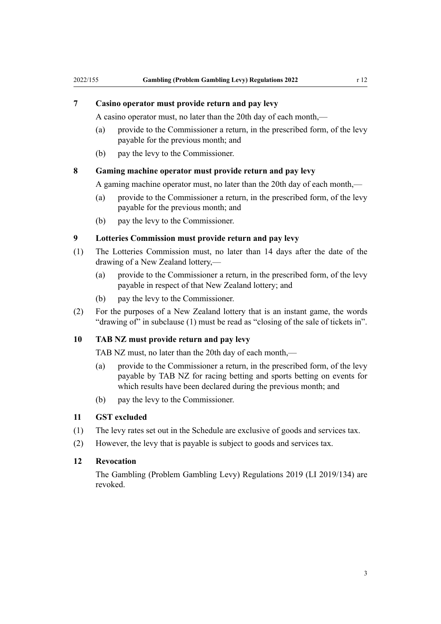<span id="page-2-0"></span>A casino operator must, no later than the 20th day of each month,—

- (a) provide to the Commissioner a return, in the prescribed form, of the levy payable for the previous month; and
- (b) pay the levy to the Commissioner.

#### **8 Gaming machine operator must provide return and pay levy**

A gaming machine operator must, no later than the 20th day of each month,—

- (a) provide to the Commissioner a return, in the prescribed form, of the levy payable for the previous month; and
- (b) pay the levy to the Commissioner.

#### **9 Lotteries Commission must provide return and pay levy**

- (1) The Lotteries Commission must, no later than 14 days after the date of the drawing of a New Zealand lottery,—
	- (a) provide to the Commissioner a return, in the prescribed form, of the levy payable in respect of that New Zealand lottery; and
	- (b) pay the levy to the Commissioner.
- (2) For the purposes of a New Zealand lottery that is an instant game, the words "drawing of" in subclause (1) must be read as "closing of the sale of tickets in".

#### **10 TAB NZ must provide return and pay levy**

TAB NZ must, no later than the 20th day of each month,—

- (a) provide to the Commissioner a return, in the prescribed form, of the levy payable by TAB NZ for racing betting and sports betting on events for which results have been declared during the previous month; and
- (b) pay the levy to the Commissioner.

### **11 GST excluded**

- (1) The levy rates set out in the Schedule are exclusive of goods and services tax.
- (2) However, the levy that is payable is subject to goods and services tax.

#### **12 Revocation**

The [Gambling \(Problem Gambling Levy\) Regulations 2019](http://legislation.govt.nz/pdflink.aspx?id=LMS209139) (LI 2019/134) are revoked.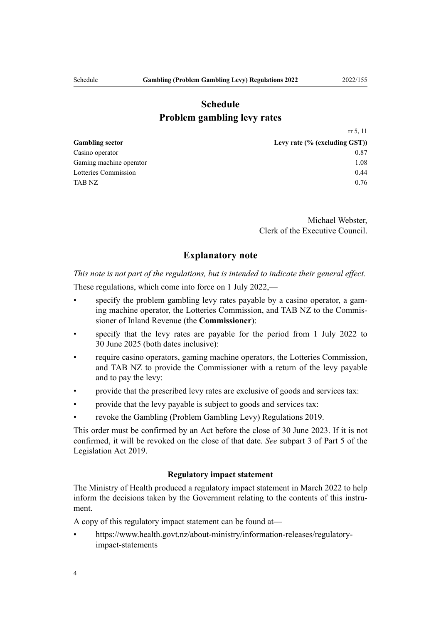# **Schedule Problem gambling levy rates**

<span id="page-3-0"></span>

| Levy rate $(\%$ (excluding GST)) |
|----------------------------------|
| 0.87                             |
| 1.08                             |
| 0.44                             |
| 0.76                             |
|                                  |

Michael Webster, Clerk of the Executive Council.

### **Explanatory note**

*This note is not part of the regulations, but is intended to indicate their general effect.*

These regulations, which come into force on 1 July 2022,—

- specify the problem gambling levy rates payable by a casino operator, a gaming machine operator, the Lotteries Commission, and TAB NZ to the Commis‐ sioner of Inland Revenue (the **Commissioner**):
- specify that the levy rates are payable for the period from 1 July 2022 to 30 June 2025 (both dates inclusive):
- require casino operators, gaming machine operators, the Lotteries Commission, and TAB NZ to provide the Commissioner with a return of the levy payable and to pay the levy:
- provide that the prescribed levy rates are exclusive of goods and services tax:
- provide that the levy payable is subject to goods and services tax:
- revoke the [Gambling \(Problem Gambling Levy\) Regulations 2019.](http://legislation.govt.nz/pdflink.aspx?id=LMS209139)

This order must be confirmed by an Act before the close of 30 June 2023. If it is not confirmed, it will be revoked on the close of that date. *See* [subpart 3](http://legislation.govt.nz/pdflink.aspx?id=DLM7298438) of Part 5 of the Legislation Act 2019.

#### **Regulatory impact statement**

The Ministry of Health produced a regulatory impact statement in March 2022 to help inform the decisions taken by the Government relating to the contents of this instrument.

A copy of this regulatory impact statement can be found at—

• [https://www.health.govt.nz/about-ministry/information-releases/regulatory](https://www.health.govt.nz/about-ministry/information-releases/regulatory-impact-statements)[impact-statements](https://www.health.govt.nz/about-ministry/information-releases/regulatory-impact-statements)

[rr 5,](#page-1-0) [11](#page-2-0)